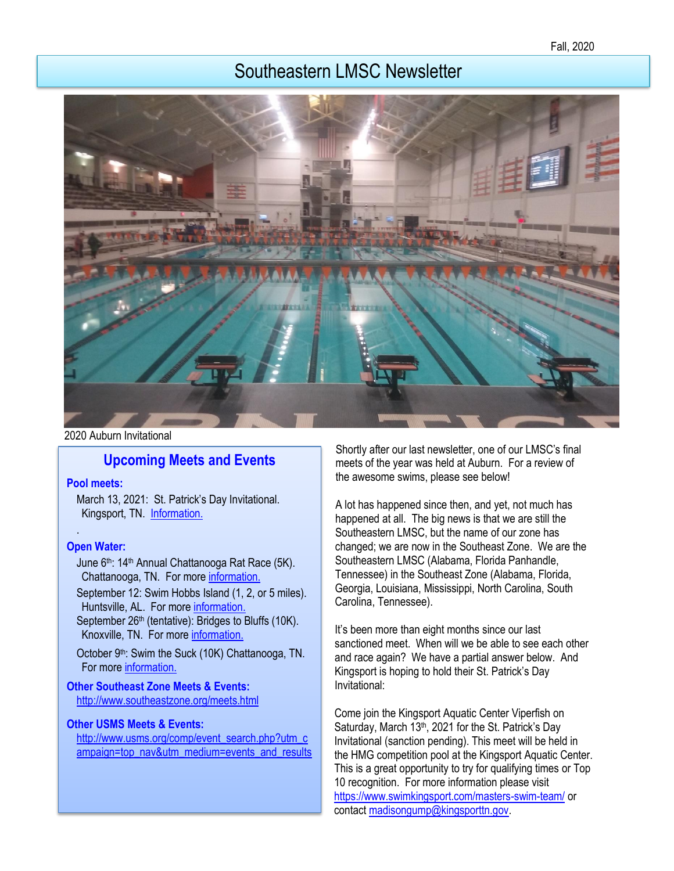# Southeastern LMSC Newsletter



2020 Auburn Invitational

## **Upcoming Meets and Events**

#### **Pool meets:**

March 13, 2021: St. Patrick's Day Invitational. Kingsport, TN. [Information.](https://www.swimkingsport.com/masters-swim-team/)

#### **Open Water:**

.

June 6<sup>th</sup>: 14<sup>th</sup> Annual Chattanooga Rat Race (5K). Chattanooga, TN. For more [information.](https://chattanoogaswimfest.org/)  September 12: Swim Hobbs Island (1, 2, or 5 miles). Huntsville, AL. For more [information.](https://www.usms.org/events/events/swim-hobbs-island-2020?ID=8490) September 26<sup>th</sup> (tentative): Bridges to Bluffs (10K). Knoxville, TN. For more [information.](https://knoxvilleopen-waterswimmers.squarespace.com/new-page) October 9<sup>th</sup>: Swim the Suck (10K) Chattanooga, TN. For more [information.](http://www.swimthesuck.org/triple-crown-of-the-tn)

#### **Other Southeast Zone Meets & Events:**  <http://www.southeastzone.org/meets.html>

#### **Other USMS Meets & Events:**

[http://www.usms.org/comp/event\\_search.php?utm\\_c](http://www.usms.org/comp/event_search.php?utm_campaign=top_nav&utm_medium=events_and_results) [ampaign=top\\_nav&utm\\_medium=events\\_and\\_results](http://www.usms.org/comp/event_search.php?utm_campaign=top_nav&utm_medium=events_and_results) Shortly after our last newsletter, one of our LMSC's final meets of the year was held at Auburn. For a review of the awesome swims, please see below!

A lot has happened since then, and yet, not much has happened at all. The big news is that we are still the Southeastern LMSC, but the name of our zone has changed; we are now in the Southeast Zone. We are the Southeastern LMSC (Alabama, Florida Panhandle, Tennessee) in the Southeast Zone (Alabama, Florida, Georgia, Louisiana, Mississippi, North Carolina, South Carolina, Tennessee).

It's been more than eight months since our last sanctioned meet. When will we be able to see each other and race again? We have a partial answer below. And Kingsport is hoping to hold their St. Patrick's Day Invitational:

Come join the Kingsport Aquatic Center Viperfish on Saturday, March 13<sup>th</sup>, 2021 for the St. Patrick's Day Invitational (sanction pending). This meet will be held in the HMG competition pool at the Kingsport Aquatic Center. This is a great opportunity to try for qualifying times or Top 10 recognition. For more information please visit <https://www.swimkingsport.com/masters-swim-team/> or contact [madisongump@kingsporttn.gov.](mailto:madisongump@kingsporttn.gov)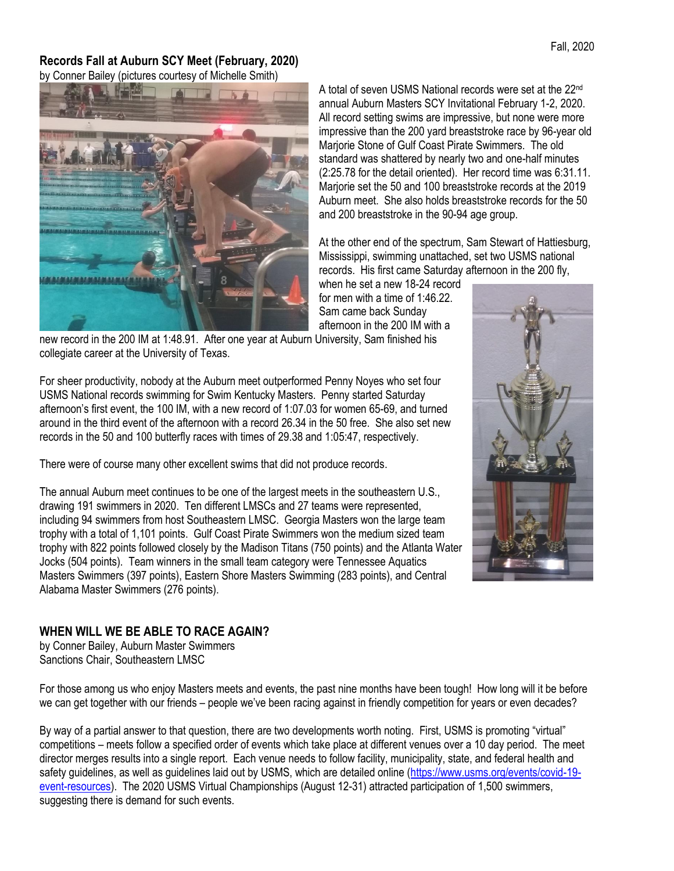### **Records Fall at Auburn SCY Meet (February, 2020)**

by Conner Bailey (pictures courtesy of Michelle Smith)



A total of seven USMS National records were set at the 22nd annual Auburn Masters SCY Invitational February 1-2, 2020. All record setting swims are impressive, but none were more impressive than the 200 yard breaststroke race by 96-year old Marjorie Stone of Gulf Coast Pirate Swimmers. The old standard was shattered by nearly two and one-half minutes (2:25.78 for the detail oriented). Her record time was 6:31.11. Marjorie set the 50 and 100 breaststroke records at the 2019 Auburn meet. She also holds breaststroke records for the 50 and 200 breaststroke in the 90-94 age group.

At the other end of the spectrum, Sam Stewart of Hattiesburg, Mississippi, swimming unattached, set two USMS national records. His first came Saturday afternoon in the 200 fly,

when he set a new 18-24 record for men with a time of 1:46.22. Sam came back Sunday afternoon in the 200 IM with a

new record in the 200 IM at 1:48.91. After one year at Auburn University, Sam finished his collegiate career at the University of Texas.

For sheer productivity, nobody at the Auburn meet outperformed Penny Noyes who set four USMS National records swimming for Swim Kentucky Masters. Penny started Saturday afternoon's first event, the 100 IM, with a new record of 1:07.03 for women 65-69, and turned around in the third event of the afternoon with a record 26.34 in the 50 free. She also set new records in the 50 and 100 butterfly races with times of 29.38 and 1:05:47, respectively.

There were of course many other excellent swims that did not produce records.

The annual Auburn meet continues to be one of the largest meets in the southeastern U.S., drawing 191 swimmers in 2020. Ten different LMSCs and 27 teams were represented, including 94 swimmers from host Southeastern LMSC. Georgia Masters won the large team trophy with a total of 1,101 points. Gulf Coast Pirate Swimmers won the medium sized team trophy with 822 points followed closely by the Madison Titans (750 points) and the Atlanta Water Jocks (504 points). Team winners in the small team category were Tennessee Aquatics Masters Swimmers (397 points), Eastern Shore Masters Swimming (283 points), and Central Alabama Master Swimmers (276 points).

### **WHEN WILL WE BE ABLE TO RACE AGAIN?**

by Conner Bailey, Auburn Master Swimmers Sanctions Chair, Southeastern LMSC

For those among us who enjoy Masters meets and events, the past nine months have been tough! How long will it be before we can get together with our friends – people we've been racing against in friendly competition for years or even decades?

By way of a partial answer to that question, there are two developments worth noting. First, USMS is promoting "virtual" competitions – meets follow a specified order of events which take place at different venues over a 10 day period. The meet director merges results into a single report. Each venue needs to follow facility, municipality, state, and federal health and safety guidelines, as well as guidelines laid out by USMS, which are detailed online [\(https://www.usms.org/events/covid-19](https://www.usms.org/events/covid-19-event-resources) [event-resources\)](https://www.usms.org/events/covid-19-event-resources). The 2020 USMS Virtual Championships (August 12-31) attracted participation of 1,500 swimmers, suggesting there is demand for such events.